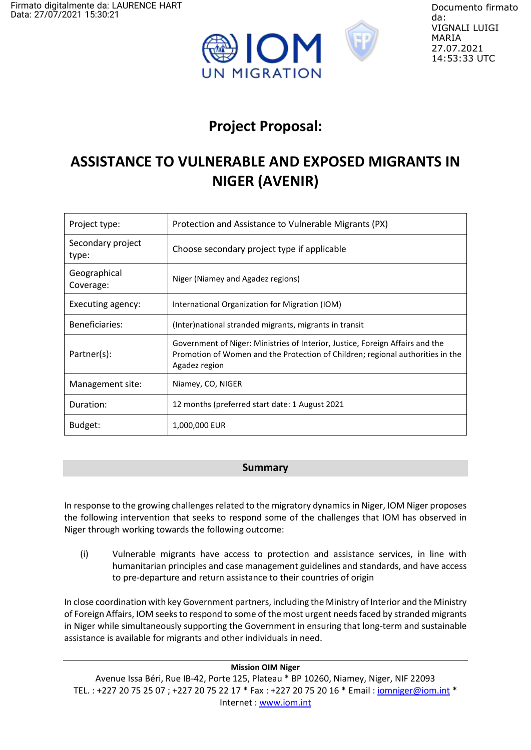



Documento firmato da: VIGNALI LUIGI MARIA 27.07.2021 14:53:33 UTC

# **Project Proposal:**

# **ASSISTANCE TO VULNERABLE AND EXPOSED MIGRANTS IN NIGER (AVENIR)**

| Project type:              | Protection and Assistance to Vulnerable Migrants (PX)                                                                                                                            |
|----------------------------|----------------------------------------------------------------------------------------------------------------------------------------------------------------------------------|
| Secondary project<br>type: | Choose secondary project type if applicable                                                                                                                                      |
| Geographical<br>Coverage:  | Niger (Niamey and Agadez regions)                                                                                                                                                |
| Executing agency:          | International Organization for Migration (IOM)                                                                                                                                   |
| Beneficiaries:             | (Inter)national stranded migrants, migrants in transit                                                                                                                           |
| Partner(s):                | Government of Niger: Ministries of Interior, Justice, Foreign Affairs and the<br>Promotion of Women and the Protection of Children; regional authorities in the<br>Agadez region |
| Management site:           | Niamey, CO, NIGER                                                                                                                                                                |
| Duration:                  | 12 months (preferred start date: 1 August 2021                                                                                                                                   |
| Budget:                    | 1,000,000 EUR                                                                                                                                                                    |

## **Summary**

In response to the growing challenges related to the migratory dynamics in Niger, IOM Niger proposes the following intervention that seeks to respond some of the challenges that IOM has observed in Niger through working towards the following outcome:

(i) Vulnerable migrants have access to protection and assistance services, in line with humanitarian principles and case management guidelines and standards, and have access to pre-departure and return assistance to their countries of origin

In close coordination with key Government partners, including the Ministry of Interior and the Ministry of Foreign Affairs, IOM seeks to respond to some of the most urgent needs faced by stranded migrants in Niger while simultaneously supporting the Government in ensuring that long-term and sustainable assistance is available for migrants and other individuals in need.

#### **Mission OIM Niger**

Avenue Issa Béri, Rue IB-42, Porte 125, Plateau \* BP 10260, Niamey, Niger, NIF 22093 TEL.: +227 20 75 25 07 ; +227 20 75 22 17 \* Fax : +227 20 75 20 16 \* Email : *iomniger@iom.int \** Internet [: www.iom.int](https://eur02.safelinks.protection.outlook.com/?url=http%3A%2F%2Fwww.iom.int%2F&data=04%7C01%7Ccaraoye%40iom.int%7C8efa64b06245415f587608d8e85b0953%7C1588262d23fb43b4bd6ebce49c8e6186%7C1%7C0%7C637514825070420581%7CUnknown%7CTWFpbGZsb3d8eyJWIjoiMC4wLjAwMDAiLCJQIjoiV2luMzIiLCJBTiI6Ik1haWwiLCJXVCI6Mn0%3D%7C1000&sdata=Rkzctx5kJwnkUomyOh6CEtRVD6sX71kFYmCADQFipDI%3D&reserved=0)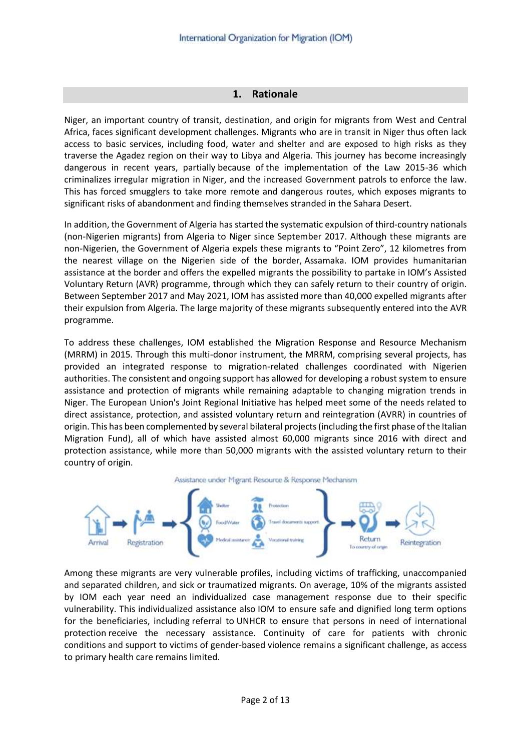#### **1. Rationale**

Niger, an important country of transit, destination, and origin for migrants from West and Central Africa, faces significant development challenges. Migrants who are in transit in Niger thus often lack access to basic services, including food, water and shelter and are exposed to high risks as they traverse the Agadez region on their way to Libya and Algeria. This journey has become increasingly dangerous in recent years, partially because of the implementation of the Law 2015-36 which criminalizes irregular migration in Niger, and the increased Government patrols to enforce the law. This has forced smugglers to take more remote and dangerous routes, which exposes migrants to significant risks of abandonment and finding themselves stranded in the Sahara Desert.

In addition, the Government of Algeria has started the systematic expulsion of third-country nationals (non-Nigerien migrants) from Algeria to Niger since September 2017. Although these migrants are non-Nigerien, the Government of Algeria expels these migrants to "Point Zero", 12 kilometres from the nearest village on the Nigerien side of the border, Assamaka. IOM provides humanitarian assistance at the border and offers the expelled migrants the possibility to partake in IOM's Assisted Voluntary Return (AVR) programme, through which they can safely return to their country of origin. Between September 2017 and May 2021, IOM has assisted more than 40,000 expelled migrants after their expulsion from Algeria. The large majority of these migrants subsequently entered into the AVR programme.

To address these challenges, IOM established the Migration Response and Resource Mechanism (MRRM) in 2015. Through this multi-donor instrument, the MRRM, comprising several projects, has provided an integrated response to migration-related challenges coordinated with Nigerien authorities. The consistent and ongoing support has allowed for developing a robust system to ensure assistance and protection of migrants while remaining adaptable to changing migration trends in Niger. The European Union's Joint Regional Initiative has helped meet some of the needs related to direct assistance, protection, and assisted voluntary return and reintegration (AVRR) in countries of origin. This has been complemented by several bilateral projects (including the first phase of the Italian Migration Fund), all of which have assisted almost 60,000 migrants since 2016 with direct and protection assistance, while more than 50,000 migrants with the assisted voluntary return to their country of origin.



Among these migrants are very vulnerable profiles, including victims of trafficking, unaccompanied and separated children, and sick or traumatized migrants. On average, 10% of the migrants assisted by IOM each year need an individualized case management response due to their specific vulnerability. This individualized assistance also IOM to ensure safe and dignified long term options for the beneficiaries, including referral to UNHCR to ensure that persons in need of international protection receive the necessary assistance. Continuity of care for patients with chronic conditions and support to victims of gender-based violence remains a significant challenge, as access to primary health care remains limited.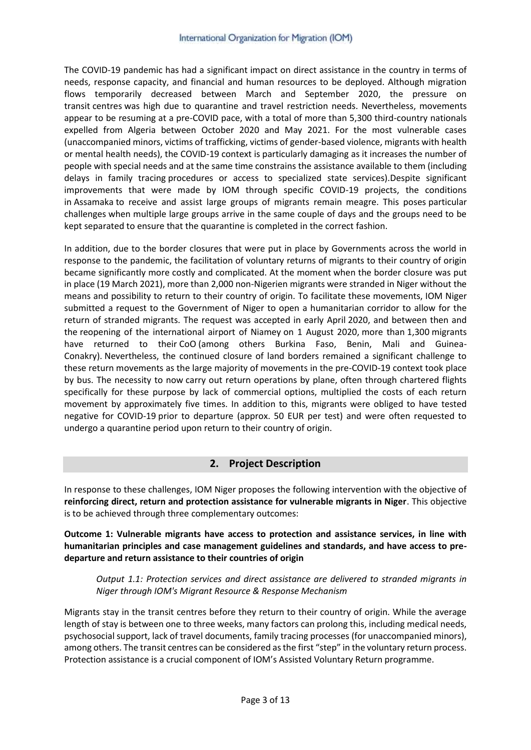The COVID-19 pandemic has had a significant impact on direct assistance in the country in terms of needs, response capacity, and financial and human resources to be deployed. Although migration flows temporarily decreased between March and September 2020, the pressure on transit centres was high due to quarantine and travel restriction needs. Nevertheless, movements appear to be resuming at a pre-COVID pace, with a total of more than 5,300 third-country nationals expelled from Algeria between October 2020 and May 2021. For the most vulnerable cases (unaccompanied minors, victims of trafficking, victims of gender-based violence, migrants with health or mental health needs), the COVID-19 context is particularly damaging as it increases the number of people with special needs and at the same time constrains the assistance available to them (including delays in family tracing procedures or access to specialized state services).Despite significant improvements that were made by IOM through specific COVID-19 projects, the conditions in Assamaka to receive and assist large groups of migrants remain meagre. This poses particular challenges when multiple large groups arrive in the same couple of days and the groups need to be kept separated to ensure that the quarantine is completed in the correct fashion.

In addition, due to the border closures that were put in place by Governments across the world in response to the pandemic, the facilitation of voluntary returns of migrants to their country of origin became significantly more costly and complicated. At the moment when the border closure was put in place (19 March 2021), more than 2,000 non-Nigerien migrants were stranded in Niger without the means and possibility to return to their country of origin. To facilitate these movements, IOM Niger submitted a request to the Government of Niger to open a humanitarian corridor to allow for the return of stranded migrants. The request was accepted in early April 2020, and between then and the reopening of the international airport of Niamey on 1 August 2020, more than 1,300 migrants have returned to their CoO (among others Burkina Faso, Benin, Mali and Guinea-Conakry). Nevertheless, the continued closure of land borders remained a significant challenge to these return movements as the large majority of movements in the pre-COVID-19 context took place by bus. The necessity to now carry out return operations by plane, often through chartered flights specifically for these purpose by lack of commercial options, multiplied the costs of each return movement by approximately five times. In addition to this, migrants were obliged to have tested negative for COVID-19 prior to departure (approx. 50 EUR per test) and were often requested to undergo a quarantine period upon return to their country of origin.

## **2. Project Description**

In response to these challenges, IOM Niger proposes the following intervention with the objective of **reinforcing direct, return and protection assistance for vulnerable migrants in Niger**. This objective is to be achieved through three complementary outcomes:

**Outcome 1: Vulnerable migrants have access to protection and assistance services, in line with humanitarian principles and case management guidelines and standards, and have access to predeparture and return assistance to their countries of origin**

*Output 1.1: Protection services and direct assistance are delivered to stranded migrants in Niger through IOM's Migrant Resource & Response Mechanism*

Migrants stay in the transit centres before they return to their country of origin. While the average length of stay is between one to three weeks, many factors can prolong this, including medical needs, psychosocial support, lack of travel documents, family tracing processes (for unaccompanied minors), among others. The transit centres can be considered as the first "step" in the voluntary return process. Protection assistance is a crucial component of IOM's Assisted Voluntary Return programme.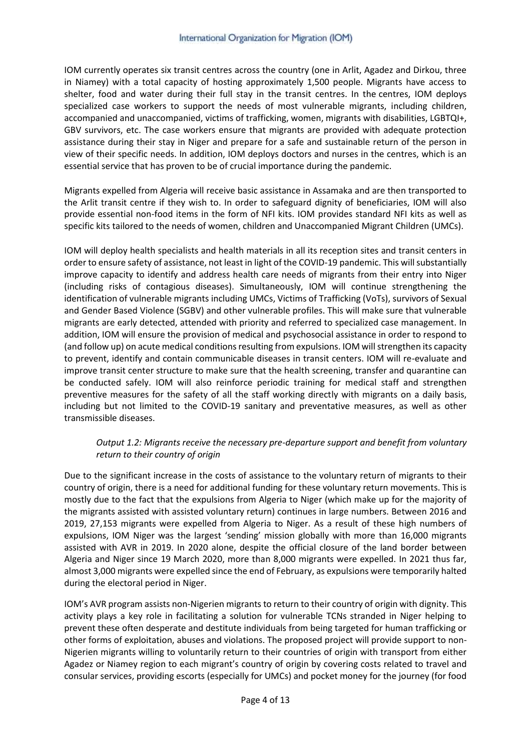IOM currently operates six transit centres across the country (one in Arlit, Agadez and Dirkou, three in Niamey) with a total capacity of hosting approximately 1,500 people. Migrants have access to shelter, food and water during their full stay in the transit centres. In the centres, IOM deploys specialized case workers to support the needs of most vulnerable migrants, including children, accompanied and unaccompanied, victims of trafficking, women, migrants with disabilities, LGBTQI+, GBV survivors, etc. The case workers ensure that migrants are provided with adequate protection assistance during their stay in Niger and prepare for a safe and sustainable return of the person in view of their specific needs. In addition, IOM deploys doctors and nurses in the centres, which is an essential service that has proven to be of crucial importance during the pandemic.

Migrants expelled from Algeria will receive basic assistance in Assamaka and are then transported to the Arlit transit centre if they wish to. In order to safeguard dignity of beneficiaries, IOM will also provide essential non-food items in the form of NFI kits. IOM provides standard NFI kits as well as specific kits tailored to the needs of women, children and Unaccompanied Migrant Children (UMCs).

IOM will deploy health specialists and health materials in all its reception sites and transit centers in order to ensure safety of assistance, not least in light of the COVID-19 pandemic. This will substantially improve capacity to identify and address health care needs of migrants from their entry into Niger (including risks of contagious diseases). Simultaneously, IOM will continue strengthening the identification of vulnerable migrants including UMCs, Victims of Trafficking (VoTs), survivors of Sexual and Gender Based Violence (SGBV) and other vulnerable profiles. This will make sure that vulnerable migrants are early detected, attended with priority and referred to specialized case management. In addition, IOM will ensure the provision of medical and psychosocial assistance in order to respond to (and follow up) on acute medical conditions resulting from expulsions. IOM will strengthen its capacity to prevent, identify and contain communicable diseases in transit centers. IOM will re-evaluate and improve transit center structure to make sure that the health screening, transfer and quarantine can be conducted safely. IOM will also reinforce periodic training for medical staff and strengthen preventive measures for the safety of all the staff working directly with migrants on a daily basis, including but not limited to the COVID-19 sanitary and preventative measures, as well as other transmissible diseases.

#### *Output 1.2: Migrants receive the necessary pre-departure support and benefit from voluntary return to their country of origin*

Due to the significant increase in the costs of assistance to the voluntary return of migrants to their country of origin, there is a need for additional funding for these voluntary return movements. This is mostly due to the fact that the expulsions from Algeria to Niger (which make up for the majority of the migrants assisted with assisted voluntary return) continues in large numbers. Between 2016 and 2019, 27,153 migrants were expelled from Algeria to Niger. As a result of these high numbers of expulsions, IOM Niger was the largest 'sending' mission globally with more than 16,000 migrants assisted with AVR in 2019. In 2020 alone, despite the official closure of the land border between Algeria and Niger since 19 March 2020, more than 8,000 migrants were expelled. In 2021 thus far, almost 3,000 migrants were expelled since the end of February, as expulsions were temporarily halted during the electoral period in Niger.

IOM's AVR program assists non-Nigerien migrants to return to their country of origin with dignity. This activity plays a key role in facilitating a solution for vulnerable TCNs stranded in Niger helping to prevent these often desperate and destitute individuals from being targeted for human trafficking or other forms of exploitation, abuses and violations. The proposed project will provide support to non-Nigerien migrants willing to voluntarily return to their countries of origin with transport from either Agadez or Niamey region to each migrant's country of origin by covering costs related to travel and consular services, providing escorts (especially for UMCs) and pocket money for the journey (for food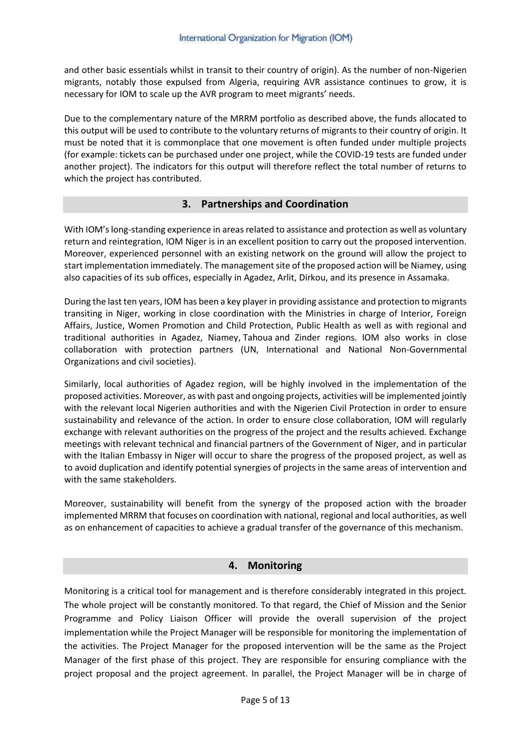and other basic essentials whilst in transit to their country of origin). As the number of non-Nigerien migrants, notably those expulsed from Algeria, requiring AVR assistance continues to grow, it is necessary for IOM to scale up the AVR program to meet migrants' needs.

Due to the complementary nature of the MRRM portfolio as described above, the funds allocated to this output will be used to contribute to the voluntary returns of migrants to their country of origin. It must be noted that it is commonplace that one movement is often funded under multiple projects (for example: tickets can be purchased under one project, while the COVID-19 tests are funded under another project). The indicators for this output will therefore reflect the total number of returns to which the project has contributed.

### **3. Partnerships and Coordination**

With IOM's long-standing experience in areas related to assistance and protection as well as voluntary return and reintegration, IOM Niger is in an excellent position to carry out the proposed intervention. Moreover, experienced personnel with an existing network on the ground will allow the project to start implementation immediately. The management site of the proposed action will be Niamey, using also capacities of its sub offices, especially in Agadez, Arlit, Dirkou, and its presence in Assamaka.

During the last ten years, IOM has been a key player in providing assistance and protection to migrants transiting in Niger, working in close coordination with the Ministries in charge of Interior, Foreign Affairs, Justice, Women Promotion and Child Protection, Public Health as well as with regional and traditional authorities in Agadez, Niamey, Tahoua and Zinder regions. IOM also works in close collaboration with protection partners (UN, International and National Non-Governmental Organizations and civil societies).

Similarly, local authorities of Agadez region, will be highly involved in the implementation of the proposed activities. Moreover, as with past and ongoing projects, activities will be implemented jointly with the relevant local Nigerien authorities and with the Nigerien Civil Protection in order to ensure sustainability and relevance of the action. In order to ensure close collaboration, IOM will regularly exchange with relevant authorities on the progress of the project and the results achieved. Exchange meetings with relevant technical and financial partners of the Government of Niger, and in particular with the Italian Embassy in Niger will occur to share the progress of the proposed project, as well as to avoid duplication and identify potential synergies of projects in the same areas of intervention and with the same stakeholders.

Moreover, sustainability will benefit from the synergy of the proposed action with the broader implemented MRRM that focuses on coordination with national, regional and local authorities, as well as on enhancement of capacities to achieve a gradual transfer of the governance of this mechanism.

#### **4. Monitoring**

Monitoring is a critical tool for management and is therefore considerably integrated in this project. The whole project will be constantly monitored. To that regard, the Chief of Mission and the Senior Programme and Policy Liaison Officer will provide the overall supervision of the project implementation while the Project Manager will be responsible for monitoring the implementation of the activities. The Project Manager for the proposed intervention will be the same as the Project Manager of the first phase of this project. They are responsible for ensuring compliance with the project proposal and the project agreement. In parallel, the Project Manager will be in charge of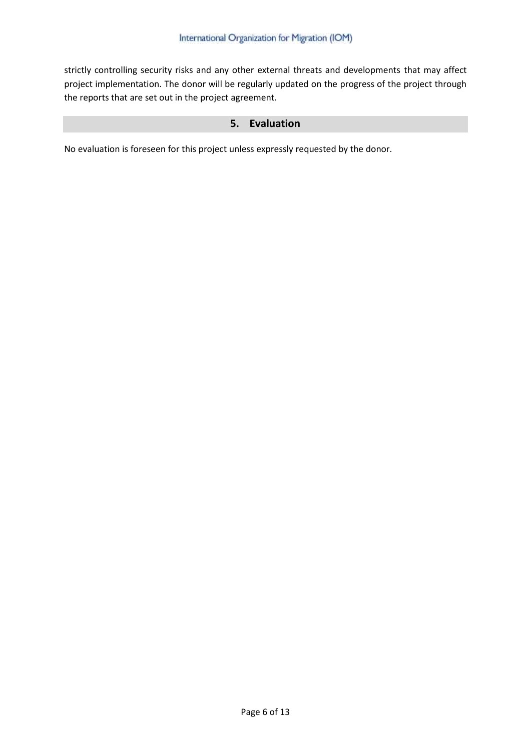strictly controlling security risks and any other external threats and developments that may affect project implementation. The donor will be regularly updated on the progress of the project through the reports that are set out in the project agreement.

## **5. Evaluation**

No evaluation is foreseen for this project unless expressly requested by the donor.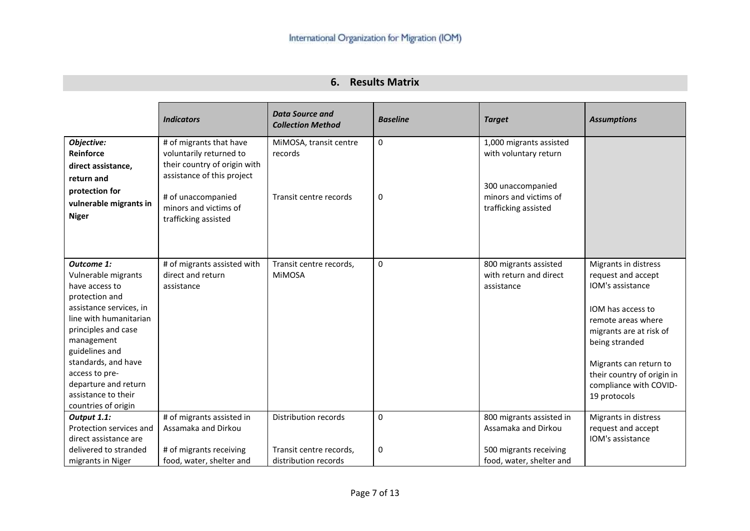# **6. Results Matrix**

|                                                                                                                                                                                                                                                                                                  | <b>Indicators</b>                                                                                                                                                                       | <b>Data Source and</b><br><b>Collection Method</b>                      | <b>Baseline</b> | <b>Target</b>                                                                                                          | <b>Assumptions</b>                                                                                                                                                                                                                                       |
|--------------------------------------------------------------------------------------------------------------------------------------------------------------------------------------------------------------------------------------------------------------------------------------------------|-----------------------------------------------------------------------------------------------------------------------------------------------------------------------------------------|-------------------------------------------------------------------------|-----------------|------------------------------------------------------------------------------------------------------------------------|----------------------------------------------------------------------------------------------------------------------------------------------------------------------------------------------------------------------------------------------------------|
| Objective:<br>Reinforce<br>direct assistance,<br>return and<br>protection for<br>vulnerable migrants in<br><b>Niger</b>                                                                                                                                                                          | # of migrants that have<br>voluntarily returned to<br>their country of origin with<br>assistance of this project<br># of unaccompanied<br>minors and victims of<br>trafficking assisted | MiMOSA, transit centre<br>records<br>Transit centre records             | 0<br>0          | 1,000 migrants assisted<br>with voluntary return<br>300 unaccompanied<br>minors and victims of<br>trafficking assisted |                                                                                                                                                                                                                                                          |
| Outcome 1:<br>Vulnerable migrants<br>have access to<br>protection and<br>assistance services, in<br>line with humanitarian<br>principles and case<br>management<br>guidelines and<br>standards, and have<br>access to pre-<br>departure and return<br>assistance to their<br>countries of origin | # of migrants assisted with<br>direct and return<br>assistance                                                                                                                          | Transit centre records,<br><b>MIMOSA</b>                                | 0               | 800 migrants assisted<br>with return and direct<br>assistance                                                          | Migrants in distress<br>request and accept<br>IOM's assistance<br>IOM has access to<br>remote areas where<br>migrants are at risk of<br>being stranded<br>Migrants can return to<br>their country of origin in<br>compliance with COVID-<br>19 protocols |
| Output 1.1:<br>Protection services and<br>direct assistance are<br>delivered to stranded<br>migrants in Niger                                                                                                                                                                                    | # of migrants assisted in<br>Assamaka and Dirkou<br># of migrants receiving<br>food, water, shelter and                                                                                 | Distribution records<br>Transit centre records,<br>distribution records | 0<br>0          | 800 migrants assisted in<br>Assamaka and Dirkou<br>500 migrants receiving<br>food, water, shelter and                  | Migrants in distress<br>request and accept<br>IOM's assistance                                                                                                                                                                                           |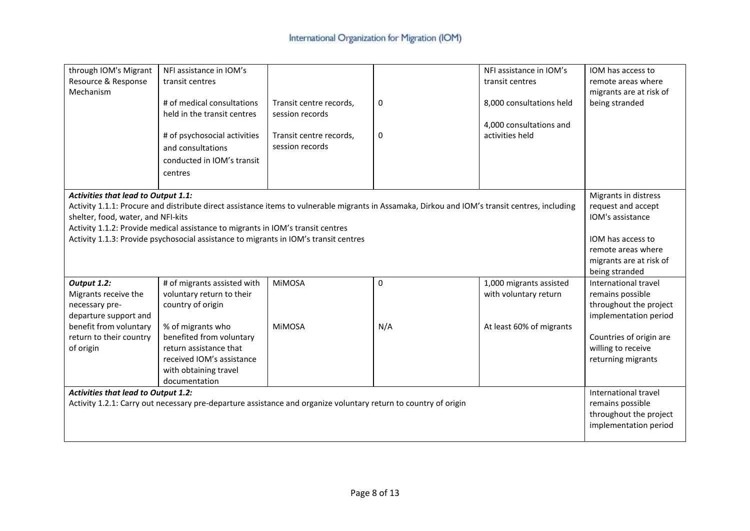| through IOM's Migrant<br>Resource & Response<br>Mechanism                                                                                        | NFI assistance in IOM's<br>transit centres<br># of medical consultations<br>held in the transit centres<br># of psychosocial activities<br>and consultations<br>conducted in IOM's transit<br>centres                                                                                                                     | Transit centre records,<br>session records<br>Transit centre records,<br>session records | 0<br>0           | NFI assistance in IOM's<br>transit centres<br>8,000 consultations held<br>4,000 consultations and<br>activities held | IOM has access to<br>remote areas where<br>migrants are at risk of<br>being stranded                                                                               |
|--------------------------------------------------------------------------------------------------------------------------------------------------|---------------------------------------------------------------------------------------------------------------------------------------------------------------------------------------------------------------------------------------------------------------------------------------------------------------------------|------------------------------------------------------------------------------------------|------------------|----------------------------------------------------------------------------------------------------------------------|--------------------------------------------------------------------------------------------------------------------------------------------------------------------|
| <b>Activities that lead to Output 1.1:</b><br>shelter, food, water, and NFI-kits                                                                 | Activity 1.1.1: Procure and distribute direct assistance items to vulnerable migrants in Assamaka, Dirkou and IOM's transit centres, including<br>Activity 1.1.2: Provide medical assistance to migrants in IOM's transit centres<br>Activity 1.1.3: Provide psychosocial assistance to migrants in IOM's transit centres |                                                                                          |                  |                                                                                                                      | Migrants in distress<br>request and accept<br>IOM's assistance<br>IOM has access to<br>remote areas where<br>migrants are at risk of<br>being stranded             |
| Output 1.2:<br>Migrants receive the<br>necessary pre-<br>departure support and<br>benefit from voluntary<br>return to their country<br>of origin | # of migrants assisted with<br>voluntary return to their<br>country of origin<br>% of migrants who<br>benefited from voluntary<br>return assistance that<br>received IOM's assistance<br>with obtaining travel<br>documentation                                                                                           | <b>MiMOSA</b><br><b>MIMOSA</b>                                                           | $\pmb{0}$<br>N/A | 1,000 migrants assisted<br>with voluntary return<br>At least 60% of migrants                                         | International travel<br>remains possible<br>throughout the project<br>implementation period<br>Countries of origin are<br>willing to receive<br>returning migrants |
| <b>Activities that lead to Output 1.2:</b>                                                                                                       | Activity 1.2.1: Carry out necessary pre-departure assistance and organize voluntary return to country of origin                                                                                                                                                                                                           |                                                                                          |                  |                                                                                                                      | International travel<br>remains possible<br>throughout the project<br>implementation period                                                                        |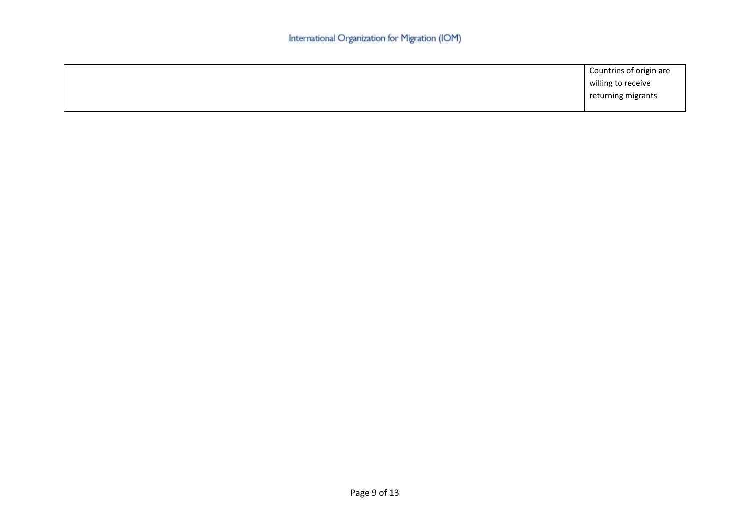| Countries of origin are |
|-------------------------|
| willing to receive      |
| returning migrants      |
|                         |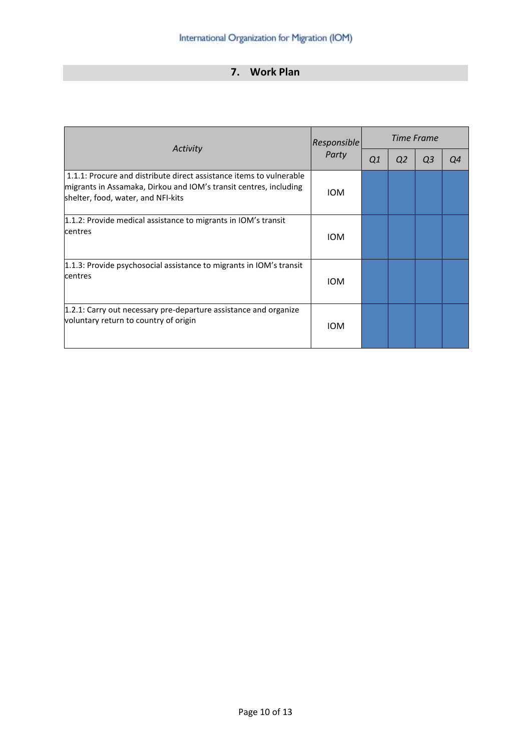# **7. Work Plan**

|                                                                                                                                                                                | <b>Responsible</b> | Time Frame |                |    |    |  |
|--------------------------------------------------------------------------------------------------------------------------------------------------------------------------------|--------------------|------------|----------------|----|----|--|
| Activity                                                                                                                                                                       | Party              | Q1         | Q <sub>2</sub> | Q3 | Q4 |  |
| 1.1.1: Procure and distribute direct assistance items to vulnerable<br>migrants in Assamaka, Dirkou and IOM's transit centres, including<br>shelter, food, water, and NFI-kits | <b>IOM</b>         |            |                |    |    |  |
| 1.1.2: Provide medical assistance to migrants in IOM's transit<br>centres                                                                                                      | <b>IOM</b>         |            |                |    |    |  |
| 1.1.3: Provide psychosocial assistance to migrants in IOM's transit<br>centres                                                                                                 | <b>IOM</b>         |            |                |    |    |  |
| 1.2.1: Carry out necessary pre-departure assistance and organize<br>voluntary return to country of origin                                                                      | <b>IOM</b>         |            |                |    |    |  |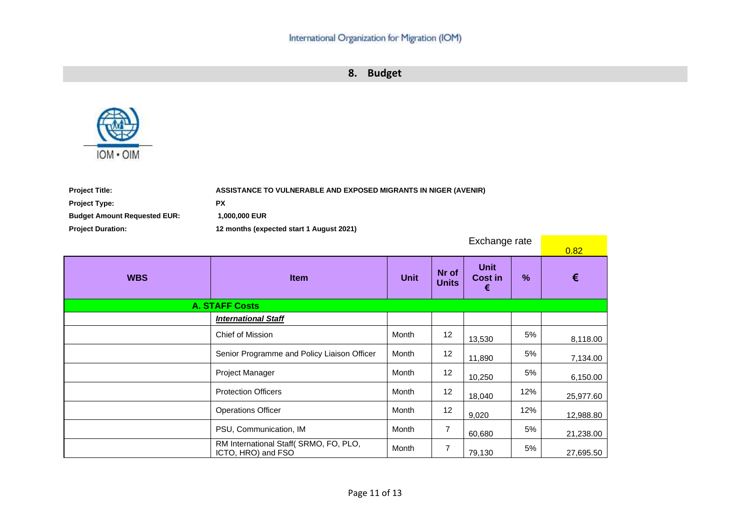**8. Budget**



| ASSISTANCE TO VULNERABLE AND EXPOSED MIGRANTS IN NIGER (AVENIR) |
|-----------------------------------------------------------------|
| <b>PX</b>                                                       |
| 1,000,000 EUR                                                   |
| 12 months (expected start 1 August 2021)                        |
|                                                                 |

| Exchange rate |                                                             |             |                       | 0.82                               |      |           |
|---------------|-------------------------------------------------------------|-------------|-----------------------|------------------------------------|------|-----------|
| <b>WBS</b>    | <b>Item</b>                                                 | <b>Unit</b> | Nr of<br><b>Units</b> | <b>Unit</b><br><b>Cost in</b><br>€ | $\%$ | €         |
|               | <b>A. STAFF Costs</b>                                       |             |                       |                                    |      |           |
|               | <b>International Staff</b>                                  |             |                       |                                    |      |           |
|               | Chief of Mission                                            | Month       | 12                    | 13,530                             | 5%   | 8,118.00  |
|               | Senior Programme and Policy Liaison Officer                 | Month       | 12                    | 11,890                             | 5%   | 7,134.00  |
|               | Project Manager                                             | Month       | 12                    | 10,250                             | 5%   | 6,150.00  |
|               | <b>Protection Officers</b>                                  | Month       | 12                    | 18,040                             | 12%  | 25,977.60 |
|               | <b>Operations Officer</b>                                   | Month       | 12                    | 9,020                              | 12%  | 12,988.80 |
|               | PSU, Communication, IM                                      | Month       | 7                     | 60,680                             | 5%   | 21,238.00 |
|               | RM International Staff(SRMO, FO, PLO,<br>ICTO, HRO) and FSO | Month       | $\overline{7}$        | 79,130                             | 5%   | 27,695.50 |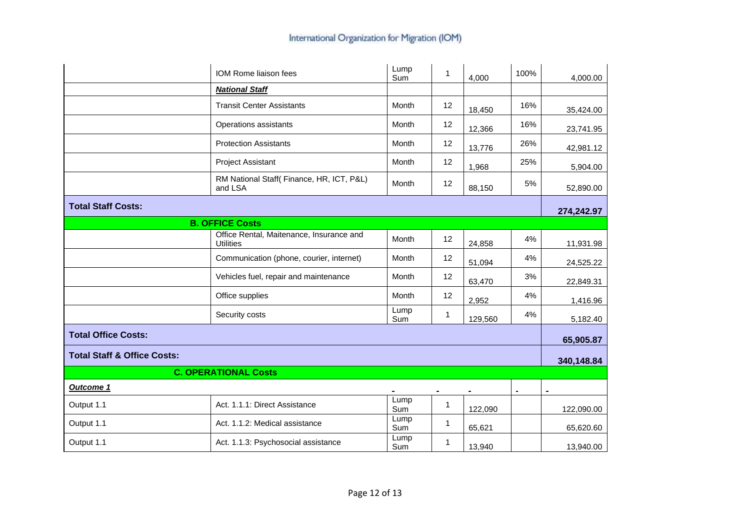|                                        | IOM Rome liaison fees                                        | Lump<br>Sum        | 1            | 4,000   | 100% | 4,000.00       |
|----------------------------------------|--------------------------------------------------------------|--------------------|--------------|---------|------|----------------|
|                                        | <b>National Staff</b>                                        |                    |              |         |      |                |
|                                        | <b>Transit Center Assistants</b>                             | Month              | 12           | 18,450  | 16%  | 35,424.00      |
|                                        | Operations assistants                                        | Month              | 12           | 12,366  | 16%  | 23,741.95      |
|                                        | <b>Protection Assistants</b>                                 | Month              | 12           | 13,776  | 26%  | 42,981.12      |
|                                        | <b>Project Assistant</b>                                     | Month              | 12           | 1,968   | 25%  | 5,904.00       |
|                                        | RM National Staff(Finance, HR, ICT, P&L)<br>and LSA          | Month              | 12           | 88,150  | 5%   | 52,890.00      |
| <b>Total Staff Costs:</b>              |                                                              |                    |              |         |      | 274,242.97     |
|                                        | <b>B. OFFICE Costs</b>                                       |                    |              |         |      |                |
|                                        | Office Rental, Maitenance, Insurance and<br><b>Utilities</b> | Month              | 12           | 24,858  | 4%   | 11,931.98      |
|                                        | Communication (phone, courier, internet)                     | Month              | 12           | 51,094  | 4%   | 24,525.22      |
|                                        | Vehicles fuel, repair and maintenance                        | Month              | 12           | 63,470  | 3%   | 22,849.31      |
|                                        | Office supplies                                              | Month              | 12           | 2,952   | 4%   | 1,416.96       |
|                                        | Security costs                                               | Lump<br><b>Sum</b> | 1            | 129,560 | 4%   | 5,182.40       |
| <b>Total Office Costs:</b>             |                                                              |                    |              |         |      | 65,905.87      |
| <b>Total Staff &amp; Office Costs:</b> |                                                              |                    |              |         |      | 340,148.84     |
|                                        | <b>C. OPERATIONAL Costs</b>                                  |                    |              |         |      |                |
| Outcome 1                              |                                                              |                    |              |         |      | $\blacksquare$ |
| Output 1.1                             | Act. 1.1.1: Direct Assistance                                | Lump<br>Sum        | $\mathbf{1}$ | 122,090 |      | 122,090.00     |
| Output 1.1                             | Act. 1.1.2: Medical assistance                               | Lump<br>Sum        | 1            | 65,621  |      | 65,620.60      |
| Output 1.1                             | Act. 1.1.3: Psychosocial assistance                          | Lump<br>Sum        | 1            | 13,940  |      | 13,940.00      |